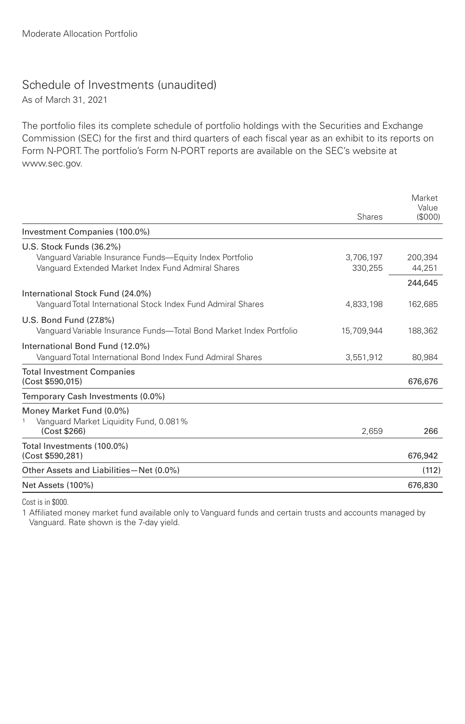## Schedule of Investments (unaudited)

As of March 31, 2021

The portfolio files its complete schedule of portfolio holdings with the Securities and Exchange Commission (SEC) for the first and third quarters of each fiscal year as an exhibit to its reports on Form N-PORT. The portfolio's Form N-PORT reports are available on the SEC's website at www.sec.gov.

|                                                                                                  | Shares     | Market<br>Value<br>(S000) |
|--------------------------------------------------------------------------------------------------|------------|---------------------------|
| Investment Companies (100.0%)                                                                    |            |                           |
| U.S. Stock Funds (36.2%)<br>Vanguard Variable Insurance Funds—Equity Index Portfolio             | 3,706,197  | 200.394                   |
| Vanguard Extended Market Index Fund Admiral Shares                                               | 330.255    | 44,251                    |
| International Stock Fund (24.0%)<br>Vanquard Total International Stock Index Fund Admiral Shares | 4.833.198  | 244,645<br>162.685        |
| U.S. Bond Fund (27.8%)<br>Vanguard Variable Insurance Funds—Total Bond Market Index Portfolio    | 15,709,944 | 188,362                   |
| International Bond Fund (12.0%)<br>Vanguard Total International Bond Index Fund Admiral Shares   | 3,551,912  | 80,984                    |
| <b>Total Investment Companies</b><br>(Cost \$590,015)                                            |            | 676,676                   |
| Temporary Cash Investments (0.0%)                                                                |            |                           |
| Money Market Fund (0.0%)<br>Vanguard Market Liquidity Fund, 0.081%                               |            |                           |
| (Cost \$266)                                                                                     | 2.659      | 266                       |
| Total Investments (100.0%)<br>(Cost \$590,281)                                                   |            | 676,942                   |
| Other Assets and Liabilities-Net (0.0%)                                                          |            | (112)                     |
| Net Assets (100%)                                                                                |            | 676,830                   |

Cost is in \$000.

1 Affiliated money market fund available only to Vanguard funds and certain trusts and accounts managed by Vanguard. Rate shown is the 7-day yield.